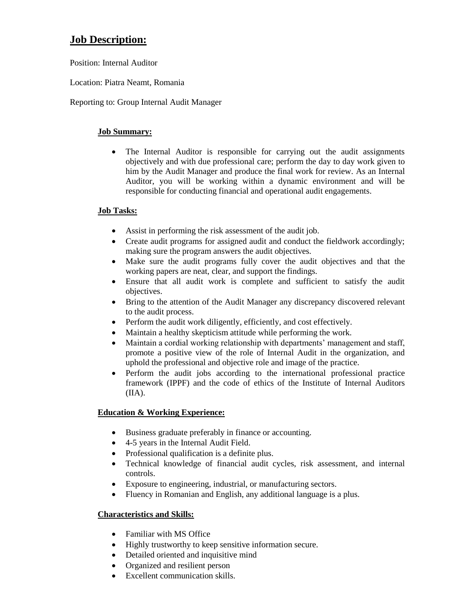# **Job Description:**

Position: Internal Auditor

Location: Piatra Neamt, Romania

Reporting to: Group Internal Audit Manager

### **Job Summary:**

• The Internal Auditor is responsible for carrying out the audit assignments objectively and with due professional care; perform the day to day work given to him by the Audit Manager and produce the final work for review. As an Internal Auditor, you will be working within a dynamic environment and will be responsible for conducting financial and operational audit engagements.

## **Job Tasks:**

- Assist in performing the risk assessment of the audit job.
- Create audit programs for assigned audit and conduct the fieldwork accordingly; making sure the program answers the audit objectives.
- Make sure the audit programs fully cover the audit objectives and that the working papers are neat, clear, and support the findings.
- Ensure that all audit work is complete and sufficient to satisfy the audit objectives.
- Bring to the attention of the Audit Manager any discrepancy discovered relevant to the audit process.
- Perform the audit work diligently, efficiently, and cost effectively.
- Maintain a healthy skepticism attitude while performing the work.
- Maintain a cordial working relationship with departments' management and staff, promote a positive view of the role of Internal Audit in the organization, and uphold the professional and objective role and image of the practice.
- Perform the audit jobs according to the international professional practice framework (IPPF) and the code of ethics of the Institute of Internal Auditors (IIA).

## **Education & Working Experience:**

- Business graduate preferably in finance or accounting.
- 4-5 years in the Internal Audit Field.
- Professional qualification is a definite plus.
- Technical knowledge of financial audit cycles, risk assessment, and internal controls.
- Exposure to engineering, industrial, or manufacturing sectors.
- Fluency in Romanian and English, any additional language is a plus.

## **Characteristics and Skills:**

- Familiar with MS Office
- Highly trustworthy to keep sensitive information secure.
- Detailed oriented and inquisitive mind
- Organized and resilient person
- Excellent communication skills.